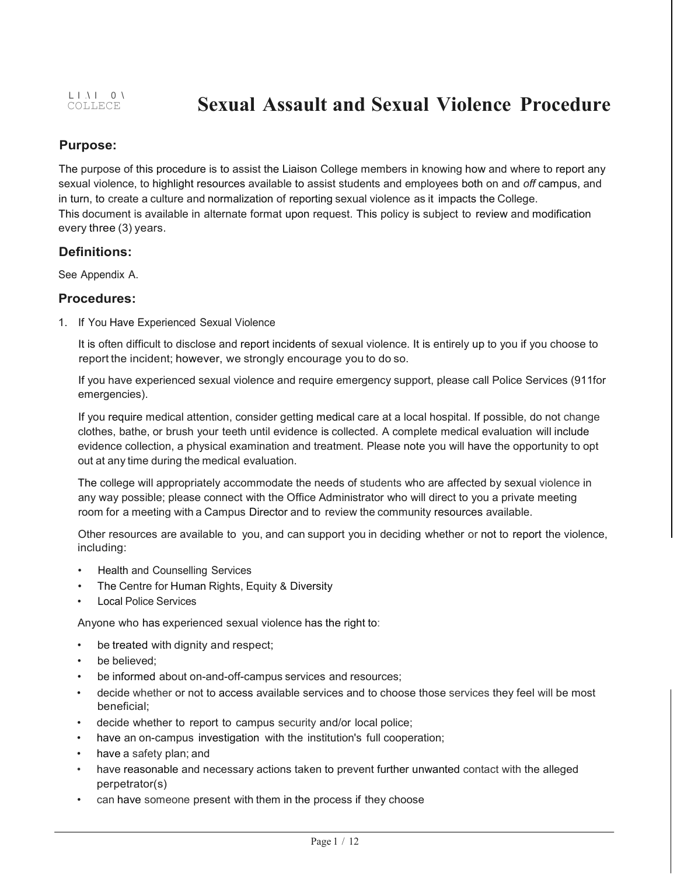# **Sexual Assault and Sexual Violence Procedure**

## **Purpose:**

The purpose of this procedure is to assist the Liaison College members in knowing how and where to report any sexual violence, to highlight resources available to assist students and employees both on and *off* campus, and in turn, to create a culture and normalization of reporting sexual violence as it impacts the College. This document is available in alternate format upon request. This policy is subject to review and modification every three (3) years.

### **Definitions:**

See Appendix A.

### **Procedures:**

1. If You Have Experienced Sexual Violence

It is often difficult to disclose and report incidents of sexual violence. It is entirely up to you if you choose to report the incident; however, we strongly encourage you to do so.

If you have experienced sexual violence and require emergency support, please call Police Services (911for emergencies).

If you require medical attention, consider getting medical care at a local hospital. If possible, do not change clothes, bathe, or brush your teeth until evidence is collected. A complete medical evaluation will include evidence collection, a physical examination and treatment. Please note you will have the opportunity to opt out at any time during the medical evaluation.

The college will appropriately accommodate the needs of students who are affected by sexual violence in any way possible; please connect with the Office Administrator who will direct to you a private meeting room for a meeting with a Campus Director and to review the community resources available.

Other resources are available to you, and can support you in deciding whether or not to report the violence, including:

- Health and Counselling Services
- The Centre for Human Rights, Equity & Diversity
- **Local Police Services**

Anyone who has experienced sexual violence has the right to:

- be treated with dignity and respect;
- be believed:
- be informed about on-and-off-campus services and resources;
- decide whether or not to access available services and to choose those services they feel will be most beneficial;
- decide whether to report to campus security and/or local police;
- have an on-campus investigation with the institution's full cooperation;
- have a safety plan; and
- have reasonable and necessary actions taken to prevent further unwanted contact with the alleged perpetrator(s)
- can have someone present with them in the process if they choose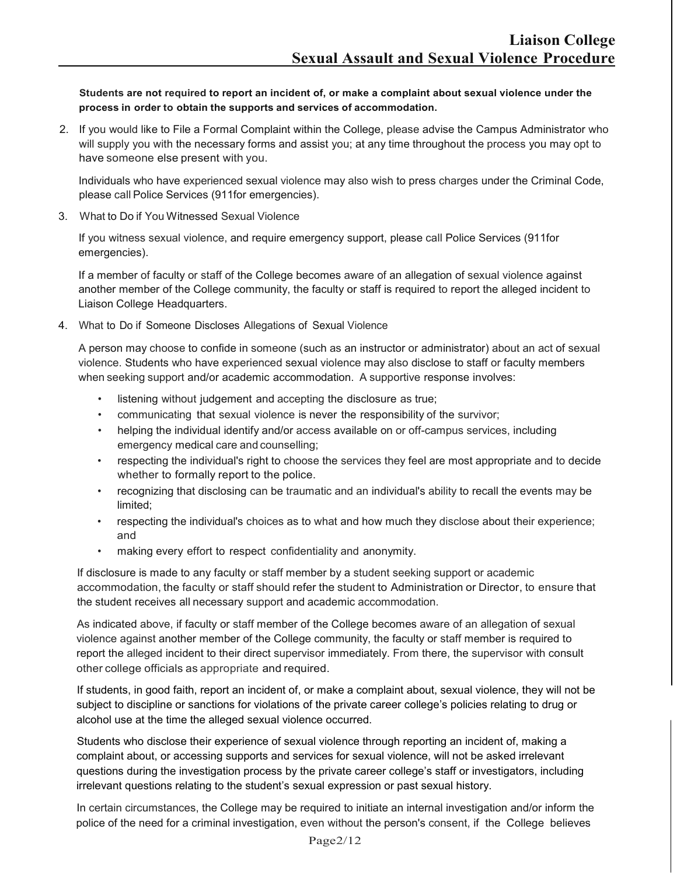**Students are not required to report an incident of, or make a complaint about sexual violence under the process in order to obtain the supports and services of accommodation.**

2. If you would like to File a Formal Complaint within the College, please advise the Campus Administrator who will supply you with the necessary forms and assist you; at any time throughout the process you may opt to have someone else present with you.

Individuals who have experienced sexual violence may also wish to press charges under the Criminal Code, please call Police Services (911for emergencies).

3. What to Do if You Witnessed Sexual Violence

If you witness sexual violence, and require emergency support, please call Police Services (911for emergencies).

If a member of faculty or staff of the College becomes aware of an allegation of sexual violence against another member of the College community, the faculty or staff is required to report the alleged incident to Liaison College Headquarters.

4. What to Do if Someone Discloses Allegations of Sexual Violence

A person may choose to confide in someone (such as an instructor or administrator) about an act of sexual violence. Students who have experienced sexual violence may also disclose to staff or faculty members when seeking support and/or academic accommodation. A supportive response involves:

- listening without judgement and accepting the disclosure as true;
- communicating that sexual violence is never the responsibility of the survivor;
- helping the individual identify and/or access available on or off-campus services, including emergency medical care and counselling;
- respecting the individual's right to choose the services they feel are most appropriate and to decide whether to formally report to the police.
- recognizing that disclosing can be traumatic and an individual's ability to recall the events may be limited;
- respecting the individual's choices as to what and how much they disclose about their experience; and
- making every effort to respect confidentiality and anonymity.

If disclosure is made to any faculty or staff member by a student seeking support or academic accommodation, the faculty or staff should refer the student to Administration or Director, to ensure that the student receives all necessary support and academic accommodation.

As indicated above, if faculty or staff member of the College becomes aware of an allegation of sexual violence against another member of the College community, the faculty or staff member is required to report the alleged incident to their direct supervisor immediately. From there, the supervisor with consult other college officials as appropriate and required.

If students, in good faith, report an incident of, or make a complaint about, sexual violence, they will not be subject to discipline or sanctions for violations of the private career college's policies relating to drug or alcohol use at the time the alleged sexual violence occurred.

Students who disclose their experience of sexual violence through reporting an incident of, making a complaint about, or accessing supports and services for sexual violence, will not be asked irrelevant questions during the investigation process by the private career college's staff or investigators, including irrelevant questions relating to the student's sexual expression or past sexual history.

In certain circumstances, the College may be required to initiate an internal investigation and/or inform the police of the need for a criminal investigation, even without the person's consent, if the College believes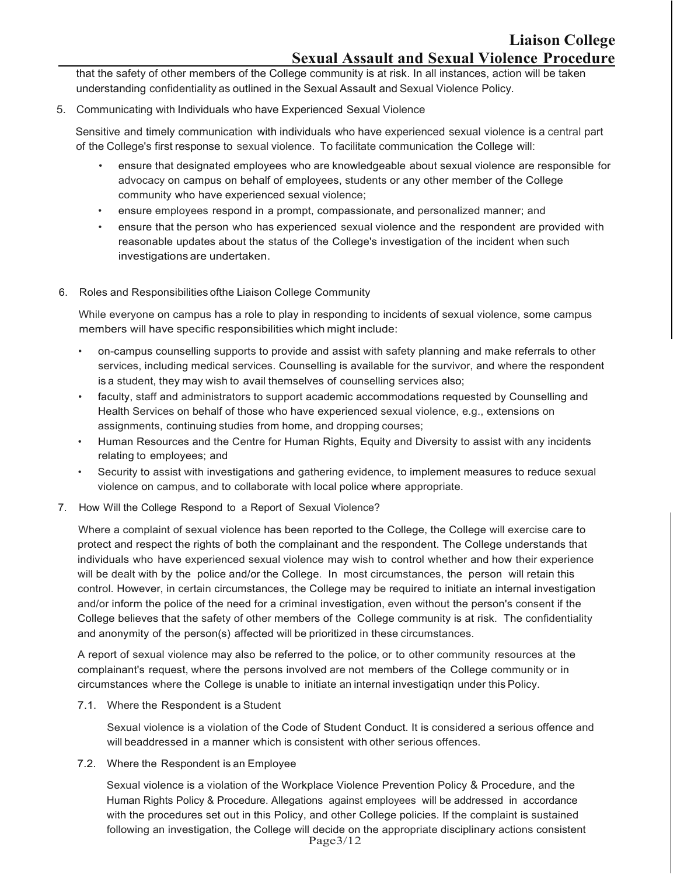that the safety of other members of the College community is at risk. In all instances, action will be taken understanding confidentiality as outlined in the Sexual Assault and Sexual Violence Policy.

5. Communicating with Individuals who have Experienced Sexual Violence

Sensitive and timely communication with individuals who have experienced sexual violence is a central part of the College's first response to sexual violence. To facilitate communication the College will:

- ensure that designated employees who are knowledgeable about sexual violence are responsible for advocacy on campus on behalf of employees, students or any other member of the College community who have experienced sexual violence;
- ensure employees respond in a prompt, compassionate, and personalized manner; and
- ensure that the person who has experienced sexual violence and the respondent are provided with reasonable updates about the status of the College's investigation of the incident when such investigations are undertaken.
- 6. Roles and Responsibilities ofthe Liaison College Community

While everyone on campus has a role to play in responding to incidents of sexual violence, some campus members will have specific responsibilities which might include:

- on-campus counselling supports to provide and assist with safety planning and make referrals to other services, including medical services. Counselling is available for the survivor, and where the respondent is a student, they may wish to avail themselves of counselling services also;
- faculty, staff and administrators to support academic accommodations requested by Counselling and Health Services on behalf of those who have experienced sexual violence, e.g., extensions on assignments, continuing studies from home, and dropping courses;
- Human Resources and the Centre for Human Rights, Equity and Diversity to assist with any incidents relating to employees; and
- Security to assist with investigations and gathering evidence, to implement measures to reduce sexual violence on campus, and to collaborate with local police where appropriate.
- 7. How Will the College Respond to a Report of Sexual Violence?

Where a complaint of sexual violence has been reported to the College, the College will exercise care to protect and respect the rights of both the complainant and the respondent. The College understands that individuals who have experienced sexual violence may wish to control whether and how their experience will be dealt with by the police and/or the College. In most circumstances, the person will retain this control. However, in certain circumstances, the College may be required to initiate an internal investigation and/or inform the police of the need for a criminal investigation, even without the person's consent if the College believes that the safety of other members of the College community is at risk. The confidentiality and anonymity of the person(s) affected will be prioritized in these circumstances.

A report of sexual violence may also be referred to the police, or to other community resources at the complainant's request, where the persons involved are not members of the College community or in circumstances where the College is unable to initiate an internal investigatiqn under this Policy.

7.1. Where the Respondent is a Student

Sexual violence is a violation of the Code of Student Conduct. It is considered a serious offence and will beaddressed in a manner which is consistent with other serious offences.

7.2. Where the Respondent is an Employee

Page3/12 Sexual violence is a violation of the Workplace Violence Prevention Policy & Procedure, and the Human Rights Policy & Procedure. Allegations against employees will be addressed in accordance with the procedures set out in this Policy, and other College policies. If the complaint is sustained following an investigation, the College will decide on the appropriate disciplinary actions consistent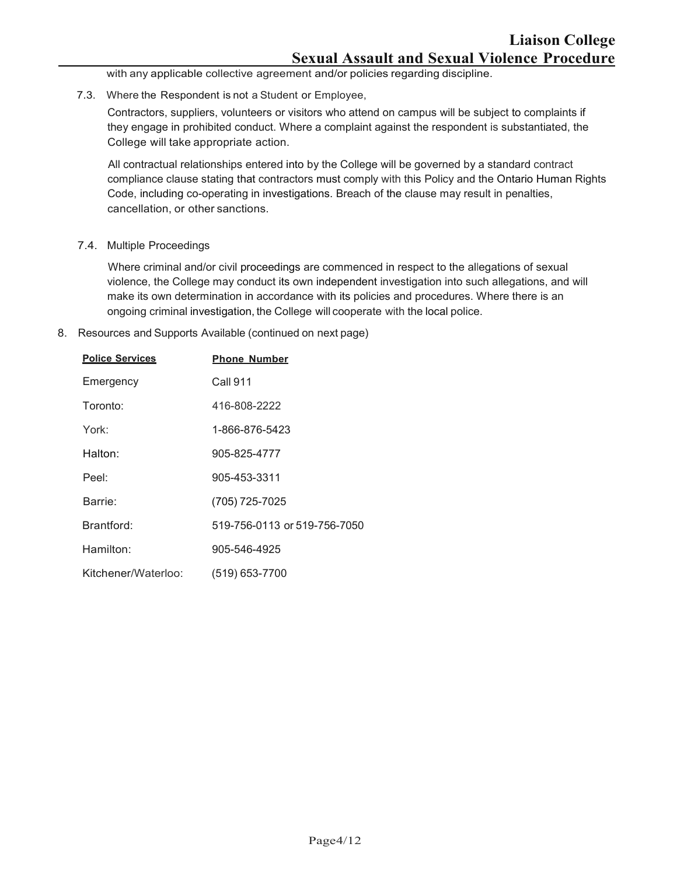with any applicable collective agreement and/or policies regarding discipline.

7.3. Where the Respondent is not a Student or Employee,

Contractors, suppliers, volunteers or visitors who attend on campus will be subject to complaints if they engage in prohibited conduct. Where a complaint against the respondent is substantiated, the College will take appropriate action.

All contractual relationships entered into by the College will be governed by a standard contract compliance clause stating that contractors must comply with this Policy and the Ontario Human Rights Code, including co-operating in investigations. Breach of the clause may result in penalties, cancellation, or other sanctions.

7.4. Multiple Proceedings

Where criminal and/or civil proceedings are commenced in respect to the allegations of sexual violence, the College may conduct its own independent investigation into such allegations, and will make its own determination in accordance with its policies and procedures. Where there is an ongoing criminal investigation, the College will cooperate with the local police.

8. Resources and Supports Available (continued on next page)

| <b>Police Services</b> | <b>Phone Number</b>          |
|------------------------|------------------------------|
| Emergency              | Call 911                     |
| Toronto:               | 416-808-2222                 |
| York:                  | 1-866-876-5423               |
| Halton:                | 905-825-4777                 |
| Peel <sup>.</sup>      | 905-453-3311                 |
| Barrie:                | (705) 725-7025               |
| Brantford:             | 519-756-0113 or 519-756-7050 |
| Hamilton:              | 905-546-4925                 |
| Kitchener/Waterloo:    | (519) 653-7700               |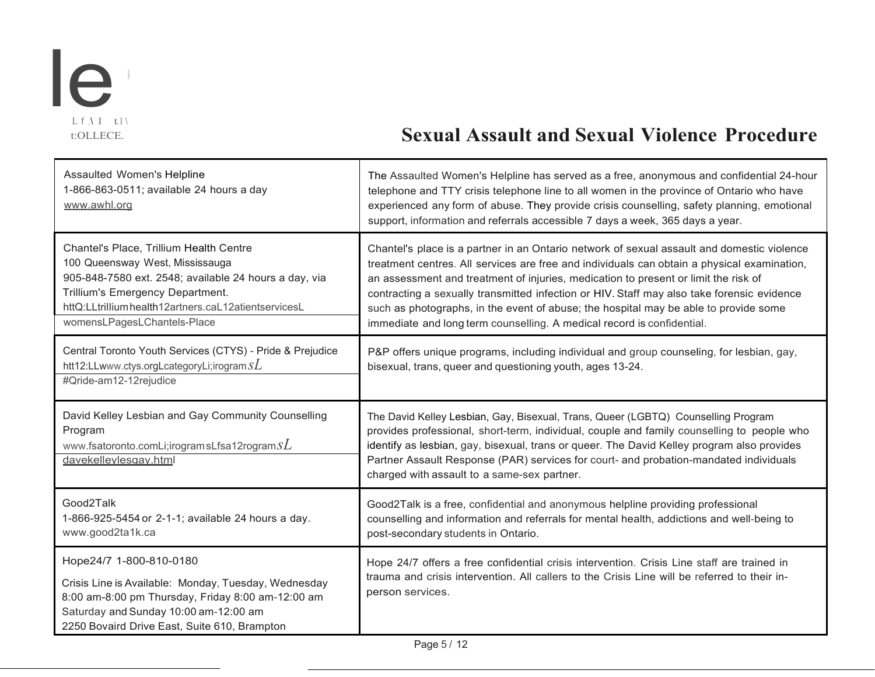

# t:OLLECE. **Sexual Assault and Sexual Violence Procedure**

| Assaulted Women's Helpline<br>1-866-863-0511; available 24 hours a day<br>www.awhl.org                                                                                                                                                                        | The Assaulted Women's Helpline has served as a free, anonymous and confidential 24-hour<br>telephone and TTY crisis telephone line to all women in the province of Ontario who have<br>experienced any form of abuse. They provide crisis counselling, safety planning, emotional<br>support, information and referrals accessible 7 days a week, 365 days a year.                                                                                                                                                                               |
|---------------------------------------------------------------------------------------------------------------------------------------------------------------------------------------------------------------------------------------------------------------|--------------------------------------------------------------------------------------------------------------------------------------------------------------------------------------------------------------------------------------------------------------------------------------------------------------------------------------------------------------------------------------------------------------------------------------------------------------------------------------------------------------------------------------------------|
| Chantel's Place, Trillium Health Centre<br>100 Queensway West, Mississauga<br>905-848-7580 ext. 2548; available 24 hours a day, via<br>Trillium's Emergency Department.<br>httQ:LLtrilliumhealth12artners.caL12atientservicesL<br>womensLPagesLChantels-Place | Chantel's place is a partner in an Ontario network of sexual assault and domestic violence<br>treatment centres. All services are free and individuals can obtain a physical examination,<br>an assessment and treatment of injuries, medication to present or limit the risk of<br>contracting a sexually transmitted infection or HIV. Staff may also take forensic evidence<br>such as photographs, in the event of abuse; the hospital may be able to provide some<br>immediate and long term counselling. A medical record is confidential. |
| Central Toronto Youth Services (CTYS) - Pride & Prejudice<br>htt12:LLwww.ctys.orgLcategoryLi;irogram $SL$<br>#Qride-am12-12rejudice                                                                                                                           | P&P offers unique programs, including individual and group counseling, for lesbian, gay,<br>bisexual, trans, queer and questioning youth, ages 13-24.                                                                                                                                                                                                                                                                                                                                                                                            |
| David Kelley Lesbian and Gay Community Counselling<br>Program<br>www.fsatoronto.comLi;irogramsLfsa12rogram $sL$<br>davekelleylesgay.html                                                                                                                      | The David Kelley Lesbian, Gay, Bisexual, Trans, Queer (LGBTQ) Counselling Program<br>provides professional, short-term, individual, couple and family counselling to people who<br>identify as lesbian, gay, bisexual, trans or queer. The David Kelley program also provides<br>Partner Assault Response (PAR) services for court- and probation-mandated individuals<br>charged with assault to a same-sex partner.                                                                                                                            |
| Good2Talk                                                                                                                                                                                                                                                     | Good2Talk is a free, confidential and anonymous helpline providing professional                                                                                                                                                                                                                                                                                                                                                                                                                                                                  |
| 1-866-925-5454 or 2-1-1; available 24 hours a day.<br>www.good2ta1k.ca                                                                                                                                                                                        | counselling and information and referrals for mental health, addictions and well-being to<br>post-secondary students in Ontario.                                                                                                                                                                                                                                                                                                                                                                                                                 |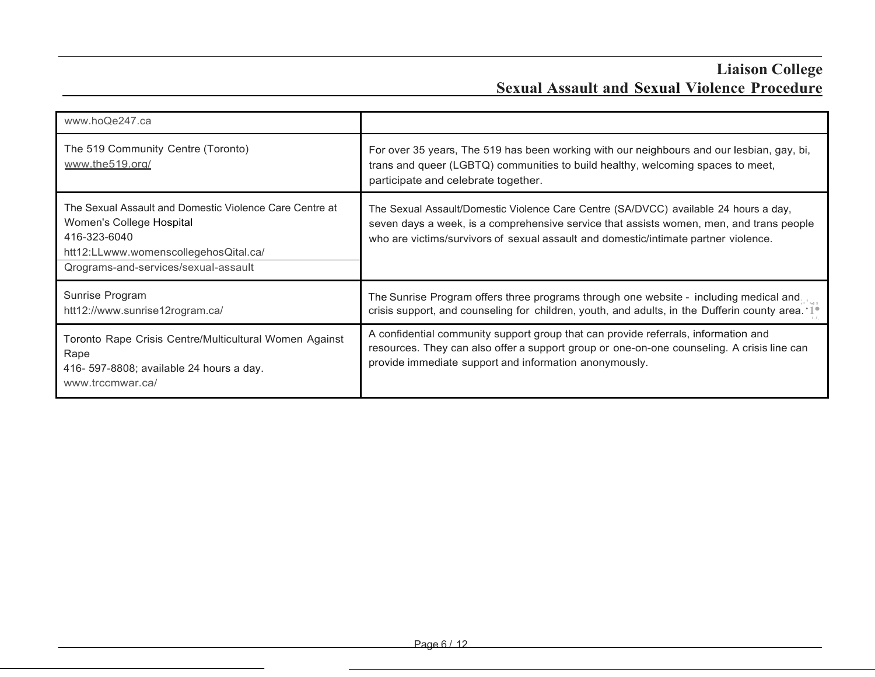| www.hoQe247.ca                                                                                                                                                                       |                                                                                                                                                                                                                                                                        |
|--------------------------------------------------------------------------------------------------------------------------------------------------------------------------------------|------------------------------------------------------------------------------------------------------------------------------------------------------------------------------------------------------------------------------------------------------------------------|
| The 519 Community Centre (Toronto)<br>www.the519.org/                                                                                                                                | For over 35 years, The 519 has been working with our neighbours and our lesbian, gay, bi,<br>trans and queer (LGBTQ) communities to build healthy, welcoming spaces to meet,<br>participate and celebrate together.                                                    |
| The Sexual Assault and Domestic Violence Care Centre at<br>Women's College Hospital<br>416-323-6040<br>htt12:LLwww.womenscollegehosQital.ca/<br>Qrograms-and-services/sexual-assault | The Sexual Assault/Domestic Violence Care Centre (SA/DVCC) available 24 hours a day,<br>seven days a week, is a comprehensive service that assists women, men, and trans people<br>who are victims/survivors of sexual assault and domestic/intimate partner violence. |
| Sunrise Program<br>htt12://www.sunrise12rogram.ca/                                                                                                                                   | The Sunrise Program offers three programs through one website - including medical and<br>crisis support, and counseling for children, youth, and adults, in the Dufferin county area. '1 <sup>®</sup>                                                                  |
| Toronto Rape Crisis Centre/Multicultural Women Against<br>Rape<br>416- 597-8808; available 24 hours a day.<br>www.trccmwar.ca/                                                       | A confidential community support group that can provide referrals, information and<br>resources. They can also offer a support group or one-on-one counseling. A crisis line can<br>provide immediate support and information anonymously.                             |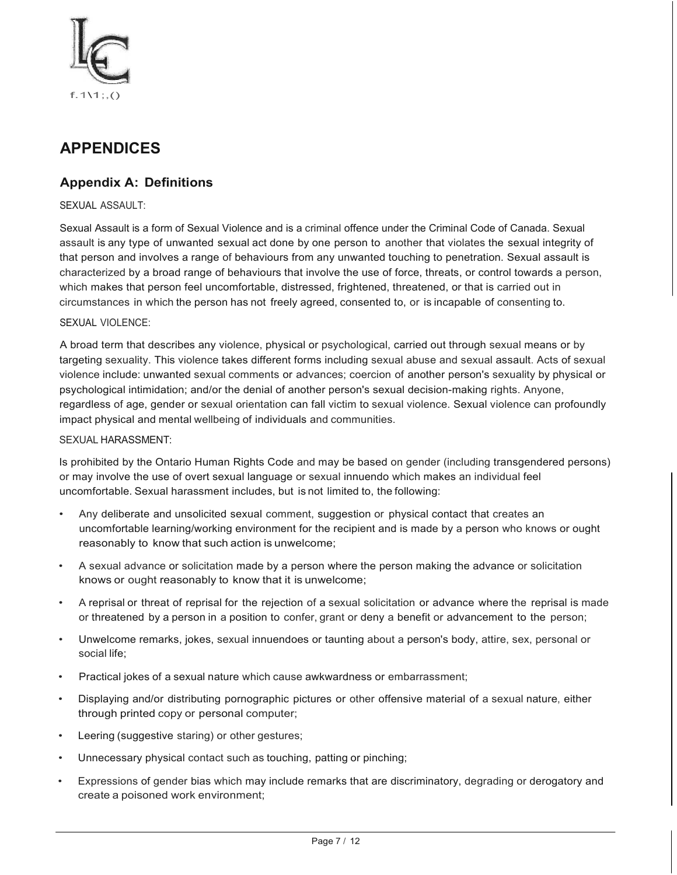

## **APPENDICES**

### **Appendix A: Definitions**

#### SEXUAL ASSAULT:

Sexual Assault is a form of Sexual Violence and is a criminal offence under the Criminal Code of Canada. Sexual assault is any type of unwanted sexual act done by one person to another that violates the sexual integrity of that person and involves a range of behaviours from any unwanted touching to penetration. Sexual assault is characterized by a broad range of behaviours that involve the use of force, threats, or control towards a person, which makes that person feel uncomfortable, distressed, frightened, threatened, or that is carried out in circumstances in which the person has not freely agreed, consented to, or is incapable of consenting to.

#### SEXUAL VIOLENCE:

A broad term that describes any violence, physical or psychological, carried out through sexual means or by targeting sexuality. This violence takes different forms including sexual abuse and sexual assault. Acts of sexual violence include: unwanted sexual comments or advances; coercion of another person's sexuality by physical or psychological intimidation; and/or the denial of another person's sexual decision-making rights. Anyone, regardless of age, gender or sexual orientation can fall victim to sexual violence. Sexual violence can profoundly impact physical and mental wellbeing of individuals and communities.

#### SEXUAL HARASSMENT:

Is prohibited by the Ontario Human Rights Code and may be based on gender (including transgendered persons) or may involve the use of overt sexual language or sexual innuendo which makes an individual feel uncomfortable. Sexual harassment includes, but is not limited to, the following:

- Any deliberate and unsolicited sexual comment, suggestion or physical contact that creates an uncomfortable learning/working environment for the recipient and is made by a person who knows or ought reasonably to know that such action is unwelcome;
- A sexual advance or solicitation made by a person where the person making the advance or solicitation knows or ought reasonably to know that it is unwelcome;
- A reprisal or threat of reprisal for the rejection of a sexual solicitation or advance where the reprisal is made or threatened by a person in a position to confer, grant or deny a benefit or advancement to the person;
- Unwelcome remarks, jokes, sexual innuendoes or taunting about a person's body, attire, sex, personal or social life;
- Practical jokes of a sexual nature which cause awkwardness or embarrassment;
- Displaying and/or distributing pornographic pictures or other offensive material of a sexual nature, either through printed copy or personal computer;
- Leering (suggestive staring) or other gestures;
- Unnecessary physical contact such as touching, patting or pinching;
- Expressions of gender bias which may include remarks that are discriminatory, degrading or derogatory and create a poisoned work environment;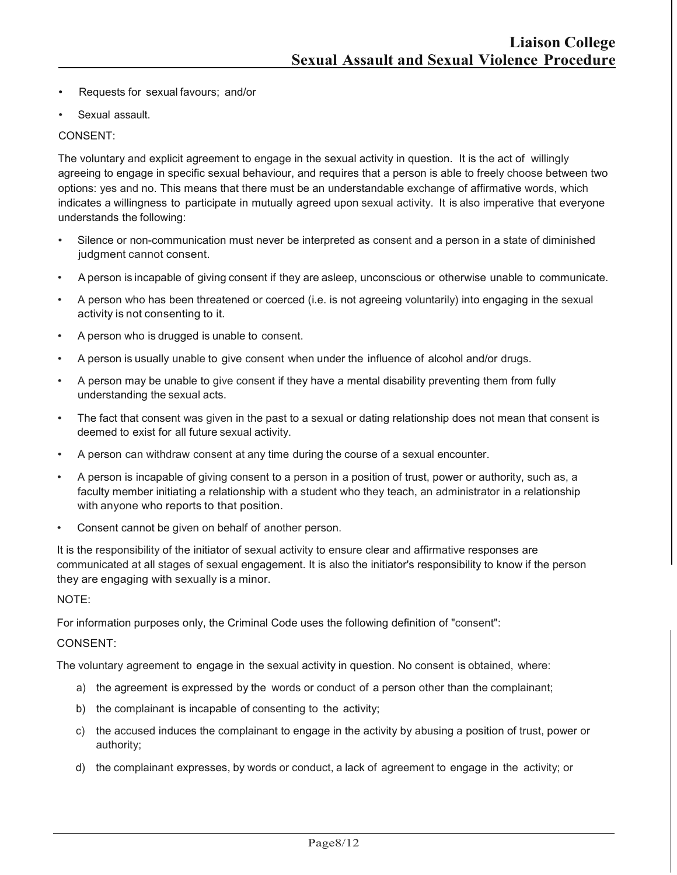- Requests for sexual favours; and/or
- Sexual assault.

#### CONSENT:

The voluntary and explicit agreement to engage in the sexual activity in question. It is the act of willingly agreeing to engage in specific sexual behaviour, and requires that a person is able to freely choose between two options: yes and no. This means that there must be an understandable exchange of affirmative words, which indicates a willingness to participate in mutually agreed upon sexual activity. It is also imperative that everyone understands the following:

- Silence or non-communication must never be interpreted as consent and a person in a state of diminished judgment cannot consent.
- A person is incapable of giving consent if they are asleep, unconscious or otherwise unable to communicate.
- A person who has been threatened or coerced (i.e. is not agreeing voluntarily) into engaging in the sexual activity is not consenting to it.
- A person who is drugged is unable to consent.
- A person is usually unable to give consent when under the influence of alcohol and/or drugs.
- A person may be unable to give consent if they have a mental disability preventing them from fully understanding the sexual acts.
- The fact that consent was given in the past to a sexual or dating relationship does not mean that consent is deemed to exist for all future sexual activity.
- A person can withdraw consent at any time during the course of a sexual encounter.
- A person is incapable of giving consent to a person in a position of trust, power or authority, such as, a faculty member initiating a relationship with a student who they teach, an administrator in a relationship with anyone who reports to that position.
- Consent cannot be given on behalf of another person.

It is the responsibility of the initiator of sexual activity to ensure clear and affirmative responses are communicated at all stages of sexual engagement. It is also the initiator's responsibility to know if the person they are engaging with sexually is a minor.

NOTE:

For information purposes only, the Criminal Code uses the following definition of "consent":

#### CONSENT:

The voluntary agreement to engage in the sexual activity in question. No consent is obtained, where:

- a) the agreement is expressed by the words or conduct of a person other than the complainant;
- b) the complainant is incapable of consenting to the activity;
- c) the accused induces the complainant to engage in the activity by abusing a position of trust, power or authority;
- d) the complainant expresses, by words or conduct, a lack of agreement to engage in the activity; or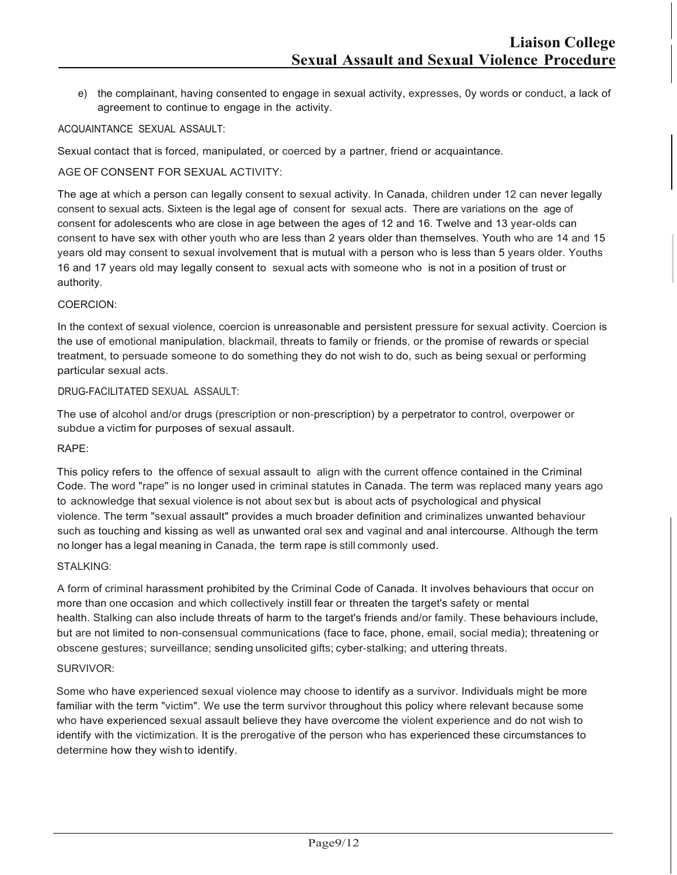e) the complainant, having consented to engage in sexual activity, expresses, 0y words or conduct, a lack of agreement to continue to engage in the activity.

#### ACQUAINTANCE SEXUAL ASSAULT:

Sexual contact that is forced, manipulated, or coerced by a partner, friend or acquaintance.

#### AGE OF CONSENT FOR SEXUAL ACTIVITY:

The age at which a person can legally consent to sexual activity. In Canada, children under 12 can never legally consent to sexual acts. Sixteen is the legal age of consent for sexual acts. There are variations on the age of consent for adolescents who are close in age between the ages of 12 and 16. Twelve and 13 year-olds can consent to have sex with other youth who are less than 2 years older than themselves. Youth who are 14 and 15 years old may consent to sexual involvement that is mutual with a person who is less than 5 years older. Youths 16 and 17 years old may legally consent to sexual acts with someone who is not in a position of trust or authority.

#### COERCION:

In the context of sexual violence, coercion is unreasonable and persistent pressure for sexual activity. Coercion is the use of emotional manipulation, blackmail, threats to family or friends, or the promise of rewards or special treatment, to persuade someone to do something they do not wish to do, such as being sexual or performing particular sexual acts.

#### DRUG-FACILITATED SEXUAL ASSAULT:

The use of alcohol and/or drugs (prescription or non-prescription) by a perpetrator to control, overpower or subdue a victim for purposes of sexual assault.

#### RAPE:

This policy refers to the offence of sexual assault to align with the current offence contained in the Criminal Code. The word "rape" is no longer used in criminal statutes in Canada. The term was replaced many years ago to acknowledge that sexual violence is not about sex but is about acts of psychological and physical violence. The term "sexual assault" provides a much broader definition and criminalizes unwanted behaviour such as touching and kissing as well as unwanted oral sex and vaginal and anal intercourse. Although the term no longer has a legal meaning in Canada, the term rape is still commonly used.

#### STALKING:

A form of criminal harassment prohibited by the Criminal Code of Canada. It involves behaviours that occur on more than one occasion and which collectively instill fear or threaten the target's safety or mental health. Stalking can also include threats of harm to the target's friends and/or family. These behaviours include, but are not limited to non-consensual communications (face to face, phone, email, social media); threatening or obscene gestures; surveillance; sending unsolicited gifts; cyber-stalking; and uttering threats.

#### SURVIVOR:

Some who have experienced sexual violence may choose to identify as a survivor. Individuals might be more familiar with the term "victim". We use the term survivor throughout this policy where relevant because some who have experienced sexual assault believe they have overcome the violent experience and do not wish to identify with the victimization. It is the prerogative of the person who has experienced these circumstances to determine how they wish to identify.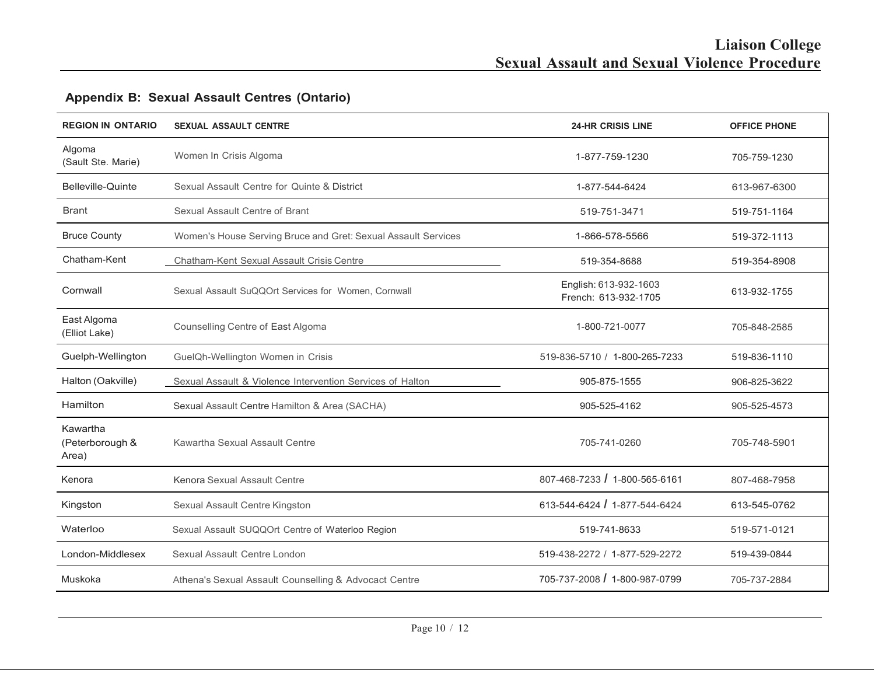## **REGION IN ONTARIO SEXUAL ASSAULT CENTRE 24-HR CRISIS LINE OFFICE PHONE** Algoma (Sault Ste. Marie) Women In Crisis Algoma 1-877-759-1230 705-759-1230 Belleville-Quinte Sexual Assault Centre for Quinte & District 1-877-544-6424 613-967-6300 Brant Sexual Assault Centre of Brant 519-751-1164 519-751-3471 519-751-3471 519-751-1164 Bruce County Women's House Serving Bruce and Gret: Sexual Assault Services 1-866-578-5566 519-372-1113 Chatham-Kent Chatham-Kent Sexual Assault Crisis Centre 519-354-8908 519-354-8688 519-354-8908 Cornwall Sexual Assault SuQQOrt Services for Women, Cornwall English: 613-932-1603 French: 613-932-1705 613-932-1755 East Algoma (Elliot Lake) Counselling Centre of East Algoma 1-800-721-0077 705-848-2585 Guelph-Wellington GuelQh-Wellington Women in Crisis 519-836-710 / 519-836-5710 / 1-800-265-7233 519-836-1110 Halton (Oakville) Sexual Assault & Violence Intervention Services of Halton 905-875-1555 905-875-1555 906-825-3622 Hamilton Sexual Assault Centre Hamilton & Area (SACHA) 905-525-4162 905-525-4162 905-525-4573 Kawartha (Peterborough & Area) Kawartha Sexual Assault Centre 705-741-0260 705-748-5901 Kenora Kenora Sexual Assault Centre 807-468-7233 *I* 1-800-565-6161 807-468-7958 Kingston Sexual Assault Centre Kingston 613-544-6424 *I* 1-877-544-6424 613-545-0762 Waterloo Sexual Assault SUQQOrt Centre of Waterloo Region 519-741-8633 519-741-8633 519-741-8633 London-Middlesex Sexual Assault Centre London 519-438-2272 / 1-877-529-2272 519-439-0844 Muskoka **Athena's Sexual Assault Counselling & Advocact Centre** 705-737-2008 / 1-800-987-0799 705-737-2884

## **Appendix B: Sexual Assault Centres (Ontario)**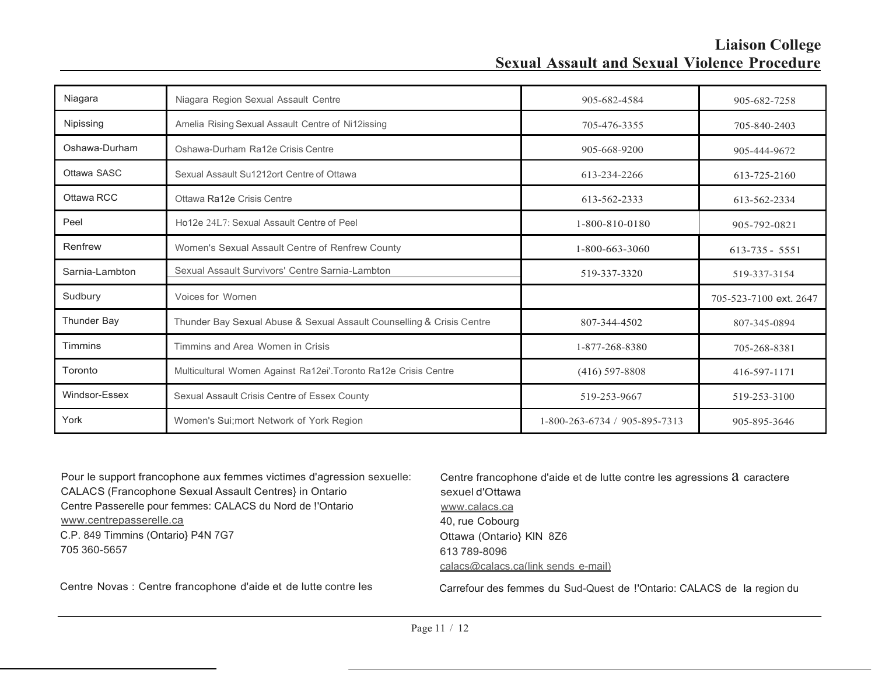## **Liaison College Sexual Assault and Sexual Violence Procedure**

| Niagara            | Niagara Region Sexual Assault Centre                                  | 905-682-4584                  | 905-682-7258           |
|--------------------|-----------------------------------------------------------------------|-------------------------------|------------------------|
| Nipissing          | Amelia Rising Sexual Assault Centre of Ni12issing                     | 705-476-3355                  | 705-840-2403           |
| Oshawa-Durham      | Oshawa-Durham Ra12e Crisis Centre                                     | 905-668-9200                  | 905-444-9672           |
| Ottawa SASC        | Sexual Assault Su1212ort Centre of Ottawa                             | 613-234-2266                  | 613-725-2160           |
| Ottawa RCC         | Ottawa Ra12e Crisis Centre                                            | 613-562-2333                  | 613-562-2334           |
| Peel               | Ho12e 24L7: Sexual Assault Centre of Peel                             | 1-800-810-0180                | 905-792-0821           |
| Renfrew            | Women's Sexual Assault Centre of Renfrew County                       | 1-800-663-3060                | $613 - 735 - 5551$     |
| Sarnia-Lambton     | Sexual Assault Survivors' Centre Sarnia-Lambton                       | 519-337-3320                  | 519-337-3154           |
| Sudbury            | Voices for Women                                                      |                               | 705-523-7100 ext. 2647 |
| <b>Thunder Bay</b> | Thunder Bay Sexual Abuse & Sexual Assault Counselling & Crisis Centre | 807-344-4502                  | 807-345-0894           |
| <b>Timmins</b>     | Timmins and Area Women in Crisis                                      | 1-877-268-8380                | 705-268-8381           |
| Toronto            | Multicultural Women Against Ra12ei'. Toronto Ra12e Crisis Centre      | $(416)$ 597-8808              | 416-597-1171           |
| Windsor-Essex      | Sexual Assault Crisis Centre of Essex County                          | 519-253-9667                  | 519-253-3100           |
| York               | Women's Sui; mort Network of York Region                              | 1-800-263-6734 / 905-895-7313 | 905-895-3646           |

Pour le support francophone aux femmes victimes d'agression sexuelle: CALACS (Francophone Sexual Assault Centres} in Ontario Centre Passerelle pour femmes: CALACS du Nord de !'Ontario [www.centrepasserelle.ca](http://www.centrepasserelle.ca/) C.P. 849 Timmins (Ontario} P4N 7G7 705 360-5657 Centre Novas : Centre francophone d'aide et de lutte contre les Centre francophone d'aide et de lutte contre les agressions  $a$  caractere sexuel d'Ottawa [www.calacs.ca](http://www.calacs.ca/) 40, rue Cobourg Ottawa (Ontario} KlN 8Z6 613 789-8096 calacs@calacs.ca(link sends e-mail) Carrefour des femmes du Sud-Quest de !'Ontario: CALACS de la region du

Page 11 / 12